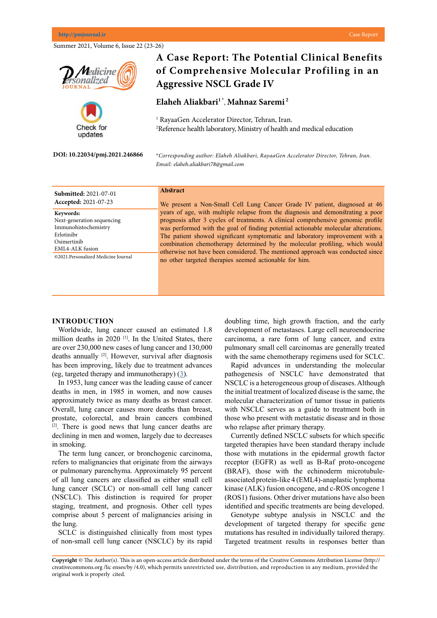Summer 2021, Volume 6, Issue 22 (23-26)



## **Submitted:** 2021-07-01 **Accepted:** 2021-07-23

**Keywords:** Next-generation sequencing Immunohistochemistry Erlotinibr Osimertinib EML4-ALK fusion ©2021.Personalized Medicine Journal

# **Abstract**

We present a Non-Small Cell Lung Cancer Grade IV patient, diagnosed at 46 years of age, with multiple relapse from the diagnosis and demonstrating a poor prognosis after 3 cycles of treatments. A clinical comprehensive genomic profile was performed with the goal of finding potential actionable molecular alterations. The patient showed significant symptomatic and laboratory improvement with a combination chemotherapy determined by the molecular profiling, which would otherwise not have been considered. The mentioned approach was conducted since no other targeted therapies seemed actionable for him.

#### **INTRODUCTION**

Worldwide, lung cancer caused an estimated 1.8 million deaths in 2020<sup>[1]</sup>. In the United States, there are over 230,000 new cases of lung cancer and 130,000 deaths annually <sup>[2]</sup>. However, survival after diagnosis has been improving, likely due to treatment advances (eg, targeted therapy and immunotherapy) [\(3](Howlader N, Forjaz G, Mooradian MJ, et al. The Effect of Advances in Lung-Cancer Treatment on Population Mortality. N Engl J Med 2020; 383:640.
)).

In 1953, lung cancer was the leading cause of cancer deaths in men, in 1985 in women, and now causes approximately twice as many deaths as breast cancer. Overall, lung cancer causes more deaths than breast, prostate, colorectal, and brain cancers combined [2]. There is good news that lung cancer deaths are declining in men and women, largely due to decreases in smoking.

The term lung cancer, or bronchogenic carcinoma, refers to malignancies that originate from the airways or pulmonary parenchyma. Approximately 95 percent of all lung cancers are classified as either small cell lung cancer (SCLC) or non-small cell lung cancer (NSCLC). This distinction is required for proper staging, treatment, and prognosis. Other cell types comprise about 5 percent of malignancies arising in the lung.

SCLC is distinguished clinically from most types of non-small cell lung cancer (NSCLC) by its rapid doubling time, high growth fraction, and the early development of metastases. Large cell neuroendocrine carcinoma, a rare form of lung cancer, and extra pulmonary small cell carcinomas are generally treated with the same chemotherapy regimens used for SCLC.

Rapid advances in understanding the molecular pathogenesis of NSCLC have demonstrated that NSCLC is a heterogeneous group of diseases. Although the initial treatment of localized disease is the same, the molecular characterization of tumor tissue in patients with NSCLC serves as a guide to treatment both in those who present with metastatic disease and in those who relapse after primary therapy.

Currently defined NSCLC subsets for which specific targeted therapies have been standard therapy include those with mutations in the epidermal growth factor receptor (EGFR) as well as B-Raf proto-oncogene (BRAF), those with the echinoderm microtubuleassociated protein-like 4 (EML4)-anaplastic lymphoma kinase (ALK) fusion oncogene, and c-ROS oncogene 1 (ROS1) fusions. Other driver mutations have also been identified and specific treatments are being developed.

Genotype subtype analysis in NSCLC and the development of targeted therapy for specific gene mutations has resulted in individually tailored therapy. Targeted treatment results in responses better than

**Copyright** © The Author(s). This is an open-access article distributed under the terms of the Creative Commons Attribution License (http:// creativecommons.org /lic enses/by /4.0), which permits unrestricted use, distribution, and reproduction in any medium, provided the original work is properly cited.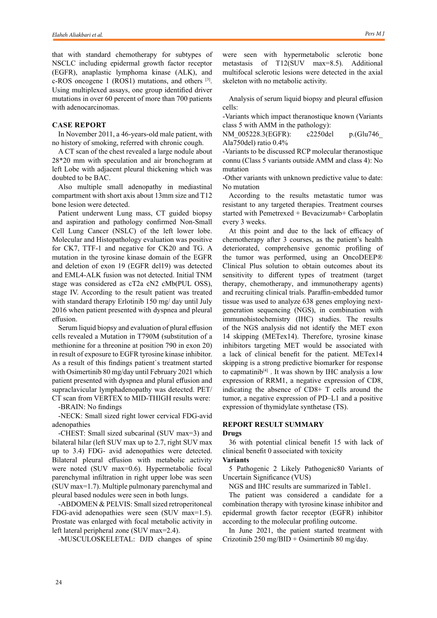that with standard chemotherapy for subtypes of NSCLC including epidermal growth factor receptor (EGFR), anaplastic lymphoma kinase (ALK), and c-ROS oncogene 1 (ROS1) mutations, and others [3]. Using multiplexed assays, one group identified driver mutations in over 60 percent of more than 700 patients with adenocarcinomas.

## **CASE REPORT**

In November 2011, a 46-years-old male patient, with no history of smoking, referred with chronic cough.

A CT scan of the chest revealed a large nodule about 28\*20 mm with speculation and air bronchogram at left Lobe with adjacent pleural thickening which was doubted to be BAC.

Also multiple small adenopathy in mediastinal compartment with short axis about 13mm size and T12 bone lesion were detected.

Patient underwent Lung mass, CT guided biopsy and aspiration and pathology confirmed Non-Small Cell Lung Cancer (NSLC) of the left lower lobe. Molecular and Histopathology evaluation was positive for CK7, TTF-1 and negative for CK20 and TG. A mutation in the tyrosine kinase domain of the EGFR and deletion of exon 19 (EGFR del19) was detected and EML4-ALK fusion was not detected. Initial TNM stage was considered as cT2a cN2 cMb(PUL OSS), stage IV. According to the result patient was treated with standard therapy Erlotinib 150 mg/ day until July 2016 when patient presented with dyspnea and pleural effusion.

Serum liquid biopsy and evaluation of plural effusion cells revealed a Mutation in T790M (substitution of a methionine for a threonine at position 790 in exon 20) in result of exposure to EGFR tyrosine kinase inhibitor. As a result of this findings patient`s treatment started with Osimertinib 80 mg/day until February 2021 which patient presented with dyspnea and plural effusion and supraclavicular lymphadenopathy was detected. PET/ CT scan from VERTEX to MID-THIGH results were:

-BRAIN: No findings

-NECK: Small sized right lower cervical FDG-avid adenopathies

-CHEST: Small sized subcarinal (SUV max=3) and bilateral hilar (left SUV max up to 2.7, right SUV max up to 3.4) FDG- avid adenopathies were detected. Bilateral pleural effusion with metabolic activity were noted (SUV max=0.6). Hypermetabolic focal parenchymal infiltration in right upper lobe was seen (SUV max=1.7). Multiple pulmonary parenchymal and pleural based nodules were seen in both lungs.

-ABDOMEN & PELVIS: Small sized retroperitoneal FDG-avid adenopathies were seen (SUV max=1.5). Prostate was enlarged with focal metabolic activity in left lateral peripheral zone (SUV max=2.4).

-MUSCULOSKELETAL: DJD changes of spine

were seen with hypermetabolic sclerotic bone metastasis of T12(SUV max=8.5). Additional multifocal sclerotic lesions were detected in the axial skeleton with no metabolic activity.

Analysis of serum liquid biopsy and pleural effusion cells:

-Variants which impact theranostique known (Variants class 5 with AMM in the pathology):

NM\_005228.3(EGFR): c2250del p.(Glu746 Ala750del) ratio 0.4%

-Variants to be discussed RCP molecular theranostique connu (Class 5 variants outside AMM and class 4): No mutation

-Other variants with unknown predictive value to date: No mutation

According to the results metastatic tumor was resistant to any targeted therapies. Treatment courses started with Pemetrexed + Bevacizumab+ Carboplatin every 3 weeks.

At this point and due to the lack of efficacy of chemotherapy after 3 courses, as the patient's health deteriorated, comprehensive genomic profiling of the tumor was performed, using an OncoDEEP® Clinical Plus solution to obtain outcomes about its sensitivity to different types of treatment (target therapy, chemotherapy, and immunotherapy agents) and recruiting clinical trials. Paraffin-embedded tumor tissue was used to analyze 638 genes employing nextgeneration sequencing (NGS), in combination with immunohistochemistry (IHC) studies. The results of the NGS analysis did not identify the MET exon 14 skipping (METex14). Therefore, tyrosine kinase inhibitors targeting MET would be associated with a lack of clinical benefit for the patient. METex14 skipping is a strong predictive biomarker for response to capmatinib<sup>[4]</sup>. It was shown by IHC analysis a low expression of RRM1, a negative expression of CD8, indicating the absence of CD8+ T cells around the tumor, a negative expression of PD–L1 and a positive expression of thymidylate synthetase (TS).

## **REPORT RESULT SUMMARY Drugs**

36 with potential clinical benefit 15 with lack of clinical benefit 0 associated with toxicity **Variants**

5 Pathogenic 2 Likely Pathogenic80 Variants of Uncertain Significance (VUS)

NGS and IHC results are summarized in Table1.

The patient was considered a candidate for a combination therapy with tyrosine kinase inhibitor and epidermal growth factor receptor (EGFR) inhibitor according to the molecular profiling outcome.

In June 2021, the patient started treatment with Crizotinib 250 mg/BID + Osimertinib 80 mg/day.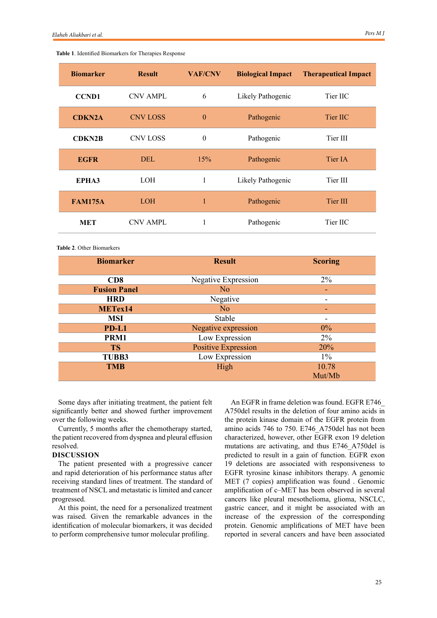| <b>Biomarker</b> | <b>Result</b>   | <b>VAF/CNV</b> | <b>Biological Impact</b> | <b>Therapeutical Impact</b> |
|------------------|-----------------|----------------|--------------------------|-----------------------------|
| <b>CCND1</b>     | <b>CNV AMPL</b> | 6              | Likely Pathogenic        | Tier IIC                    |
| <b>CDKN2A</b>    | <b>CNV LOSS</b> | $\theta$       | Pathogenic               | Tier IIC                    |
| <b>CDKN2B</b>    | <b>CNV LOSS</b> | $\theta$       | Pathogenic               | Tier III                    |
| <b>EGFR</b>      | <b>DEL</b>      | 15%            | Pathogenic               | Tier IA                     |
| EPHA3            | <b>LOH</b>      | 1              | Likely Pathogenic        | Tier III                    |
| <b>FAM175A</b>   | <b>LOH</b>      | 1              | Pathogenic               | Tier III                    |
| <b>MET</b>       | <b>CNV AMPL</b> | 1              | Pathogenic               | Tier IIC                    |

## **Table 1**. Identified Biomarkers for Therapies Response

**Table 2**. Other Biomarkers

| <b>Biomarker</b>    | <b>Result</b>              | <b>Scoring</b> |
|---------------------|----------------------------|----------------|
|                     |                            |                |
| CD8                 | Negative Expression        | $2\%$          |
| <b>Fusion Panel</b> | N <sub>o</sub>             |                |
| <b>HRD</b>          | Negative                   |                |
| METex14             | N <sub>o</sub>             |                |
| <b>MSI</b>          | Stable                     | -              |
| PD-L1               | Negative expression        | $0\%$          |
| PRM1                | Low Expression             | $2\%$          |
| <b>TS</b>           | <b>Positive Expression</b> | 20%            |
| <b>TUBB3</b>        | Low Expression             | $1\%$          |
| <b>TMB</b>          | High                       | 10.78          |
|                     |                            | Mut/Mb         |

Some days after initiating treatment, the patient felt significantly better and showed further improvement over the following weeks.

Currently, 5 months after the chemotherapy started, the patient recovered from dyspnea and pleural effusion resolved.

#### **DISCUSSION**

The patient presented with a progressive cancer and rapid deterioration of his performance status after receiving standard lines of treatment. The standard of treatment of NSCL and metastatic is limited and cancer progressed.

At this point, the need for a personalized treatment was raised. Given the remarkable advances in the identification of molecular biomarkers, it was decided to perform comprehensive tumor molecular profiling.

An EGFR in frame deletion was found. EGFR E746\_ A750del results in the deletion of four amino acids in the protein kinase domain of the EGFR protein from amino acids 746 to 750. E746\_A750del has not been characterized, however, other EGFR exon 19 deletion mutations are activating, and thus E746\_A750del is predicted to result in a gain of function. EGFR exon 19 deletions are associated with responsiveness to EGFR tyrosine kinase inhibitors therapy. A genomic MET (7 copies) amplification was found . Genomic amplification of c–MET has been observed in several cancers like pleural mesothelioma, glioma, NSCLC, gastric cancer, and it might be associated with an increase of the expression of the corresponding protein. Genomic amplifications of MET have been reported in several cancers and have been associated